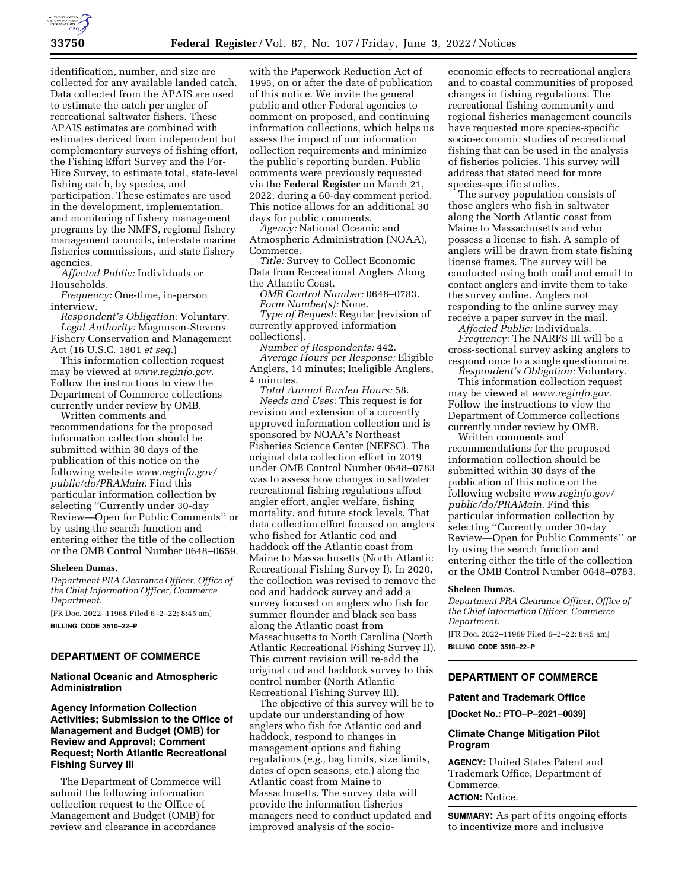

identification, number, and size are collected for any available landed catch. Data collected from the APAIS are used to estimate the catch per angler of recreational saltwater fishers. These APAIS estimates are combined with estimates derived from independent but complementary surveys of fishing effort, the Fishing Effort Survey and the For-Hire Survey, to estimate total, state-level fishing catch, by species, and participation. These estimates are used in the development, implementation, and monitoring of fishery management programs by the NMFS, regional fishery management councils, interstate marine fisheries commissions, and state fishery agencies.

*Affected Public:* Individuals or Households.

*Frequency:* One-time, in-person interview.

*Respondent's Obligation:* Voluntary. *Legal Authority:* Magnuson-Stevens Fishery Conservation and Management Act (16 U.S.C. 1801 *et seq.*)

This information collection request may be viewed at *[www.reginfo.gov.](http://www.reginfo.gov)*  Follow the instructions to view the Department of Commerce collections currently under review by OMB.

Written comments and recommendations for the proposed information collection should be submitted within 30 days of the publication of this notice on the following website *[www.reginfo.gov/](http://www.reginfo.gov/public/do/PRAMain)  [public/do/PRAMain.](http://www.reginfo.gov/public/do/PRAMain)* Find this particular information collection by selecting ''Currently under 30-day Review—Open for Public Comments'' or by using the search function and entering either the title of the collection or the OMB Control Number 0648–0659.

#### **Sheleen Dumas,**

*Department PRA Clearance Officer, Office of the Chief Information Officer, Commerce Department.* 

[FR Doc. 2022–11968 Filed 6–2–22; 8:45 am] **BILLING CODE 3510–22–P** 

# **DEPARTMENT OF COMMERCE**

### **National Oceanic and Atmospheric Administration**

**Agency Information Collection Activities; Submission to the Office of Management and Budget (OMB) for Review and Approval; Comment Request; North Atlantic Recreational Fishing Survey III** 

The Department of Commerce will submit the following information collection request to the Office of Management and Budget (OMB) for review and clearance in accordance

with the Paperwork Reduction Act of 1995, on or after the date of publication of this notice. We invite the general public and other Federal agencies to comment on proposed, and continuing information collections, which helps us assess the impact of our information collection requirements and minimize the public's reporting burden. Public comments were previously requested via the **Federal Register** on March 21, 2022, during a 60-day comment period. This notice allows for an additional 30 days for public comments.

*Agency:* National Oceanic and Atmospheric Administration (NOAA), Commerce.

*Title:* Survey to Collect Economic Data from Recreational Anglers Along the Atlantic Coast.

*OMB Control Number:* 0648–0783. *Form Number(s):* None.

*Type of Request:* Regular [revision of currently approved information collections].

*Number of Respondents:* 442.

*Average Hours per Response:* Eligible Anglers, 14 minutes; Ineligible Anglers, 4 minutes.

*Total Annual Burden Hours:* 58. *Needs and Uses:* This request is for revision and extension of a currently approved information collection and is sponsored by NOAA's Northeast Fisheries Science Center (NEFSC). The original data collection effort in 2019 under OMB Control Number 0648–0783 was to assess how changes in saltwater recreational fishing regulations affect angler effort, angler welfare, fishing mortality, and future stock levels. That data collection effort focused on anglers who fished for Atlantic cod and haddock off the Atlantic coast from Maine to Massachusetts (North Atlantic Recreational Fishing Survey I). In 2020, the collection was revised to remove the cod and haddock survey and add a survey focused on anglers who fish for summer flounder and black sea bass along the Atlantic coast from Massachusetts to North Carolina (North Atlantic Recreational Fishing Survey II). This current revision will re-add the original cod and haddock survey to this control number (North Atlantic Recreational Fishing Survey III).

The objective of this survey will be to update our understanding of how anglers who fish for Atlantic cod and haddock, respond to changes in management options and fishing regulations (*e.g.,* bag limits, size limits, dates of open seasons, etc.) along the Atlantic coast from Maine to Massachusetts. The survey data will provide the information fisheries managers need to conduct updated and improved analysis of the socio-

economic effects to recreational anglers and to coastal communities of proposed changes in fishing regulations. The recreational fishing community and regional fisheries management councils have requested more species-specific socio-economic studies of recreational fishing that can be used in the analysis of fisheries policies. This survey will address that stated need for more species-specific studies.

The survey population consists of those anglers who fish in saltwater along the North Atlantic coast from Maine to Massachusetts and who possess a license to fish. A sample of anglers will be drawn from state fishing license frames. The survey will be conducted using both mail and email to contact anglers and invite them to take the survey online. Anglers not responding to the online survey may receive a paper survey in the mail.

*Affected Public:* Individuals. *Frequency:* The NARFS III will be a cross-sectional survey asking anglers to respond once to a single questionnaire.

*Respondent's Obligation:* Voluntary. This information collection request may be viewed at *[www.reginfo.gov.](http://www.reginfo.gov)*  Follow the instructions to view the Department of Commerce collections currently under review by OMB.

Written comments and recommendations for the proposed information collection should be submitted within 30 days of the publication of this notice on the following website *[www.reginfo.gov/](http://www.reginfo.gov/public/do/PRAMain)  [public/do/PRAMain.](http://www.reginfo.gov/public/do/PRAMain)* Find this particular information collection by selecting ''Currently under 30-day Review—Open for Public Comments'' or by using the search function and entering either the title of the collection or the OMB Control Number 0648–0783.

#### **Sheleen Dumas,**

*Department PRA Clearance Officer, Office of the Chief Information Officer, Commerce Department.* 

[FR Doc. 2022–11969 Filed 6–2–22; 8:45 am] **BILLING CODE 3510–22–P** 

# **DEPARTMENT OF COMMERCE**

# **Patent and Trademark Office**

**[Docket No.: PTO–P–2021–0039]** 

## **Climate Change Mitigation Pilot Program**

**AGENCY:** United States Patent and Trademark Office, Department of Commerce. **ACTION:** Notice.

**SUMMARY:** As part of its ongoing efforts to incentivize more and inclusive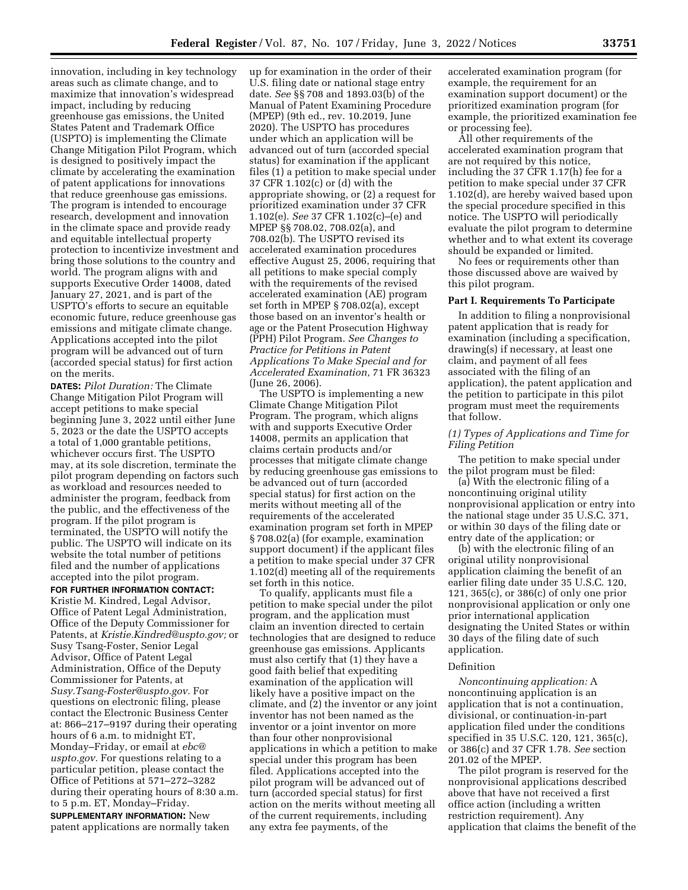innovation, including in key technology areas such as climate change, and to maximize that innovation's widespread impact, including by reducing greenhouse gas emissions, the United States Patent and Trademark Office (USPTO) is implementing the Climate Change Mitigation Pilot Program, which is designed to positively impact the climate by accelerating the examination of patent applications for innovations that reduce greenhouse gas emissions. The program is intended to encourage research, development and innovation in the climate space and provide ready and equitable intellectual property protection to incentivize investment and bring those solutions to the country and world. The program aligns with and supports Executive Order 14008, dated January 27, 2021, and is part of the USPTO's efforts to secure an equitable economic future, reduce greenhouse gas emissions and mitigate climate change. Applications accepted into the pilot program will be advanced out of turn (accorded special status) for first action on the merits.

**DATES:** *Pilot Duration:* The Climate Change Mitigation Pilot Program will accept petitions to make special beginning June 3, 2022 until either June 5, 2023 or the date the USPTO accepts a total of 1,000 grantable petitions, whichever occurs first. The USPTO may, at its sole discretion, terminate the pilot program depending on factors such as workload and resources needed to administer the program, feedback from the public, and the effectiveness of the program. If the pilot program is terminated, the USPTO will notify the public. The USPTO will indicate on its website the total number of petitions filed and the number of applications accepted into the pilot program.

**FOR FURTHER INFORMATION CONTACT:**  Kristie M. Kindred, Legal Advisor, Office of Patent Legal Administration, Office of the Deputy Commissioner for Patents, at *[Kristie.Kindred@uspto.gov;](mailto:Kristie.Kindred@uspto.gov)* or Susy Tsang-Foster, Senior Legal Advisor, Office of Patent Legal Administration, Office of the Deputy Commissioner for Patents, at *[Susy.Tsang-Foster@uspto.gov.](mailto:Susy.Tsang-Foster@uspto.gov)* For questions on electronic filing, please contact the Electronic Business Center at: 866–217–9197 during their operating hours of 6 a.m. to midnight ET, Monday–Friday, or email at *[ebc@](mailto:ebc@uspto.gov) [uspto.gov.](mailto:ebc@uspto.gov)* For questions relating to a particular petition, please contact the Office of Petitions at 571–272–3282 during their operating hours of 8:30 a.m. to 5 p.m. ET, Monday–Friday. **SUPPLEMENTARY INFORMATION:** New patent applications are normally taken

up for examination in the order of their U.S. filing date or national stage entry date. *See* §§ 708 and 1893.03(b) of the Manual of Patent Examining Procedure (MPEP) (9th ed., rev. 10.2019, June 2020). The USPTO has procedures under which an application will be advanced out of turn (accorded special status) for examination if the applicant files (1) a petition to make special under 37 CFR 1.102(c) or (d) with the appropriate showing, or (2) a request for prioritized examination under 37 CFR 1.102(e). *See* 37 CFR 1.102(c)–(e) and MPEP §§ 708.02, 708.02(a), and 708.02(b). The USPTO revised its accelerated examination procedures effective August 25, 2006, requiring that all petitions to make special comply with the requirements of the revised accelerated examination (AE) program set forth in MPEP § 708.02(a), except those based on an inventor's health or age or the Patent Prosecution Highway (PPH) Pilot Program. *See Changes to Practice for Petitions in Patent Applications To Make Special and for Accelerated Examination,* 71 FR 36323 (June 26, 2006).

The USPTO is implementing a new Climate Change Mitigation Pilot Program. The program, which aligns with and supports Executive Order 14008, permits an application that claims certain products and/or processes that mitigate climate change by reducing greenhouse gas emissions to be advanced out of turn (accorded special status) for first action on the merits without meeting all of the requirements of the accelerated examination program set forth in MPEP § 708.02(a) (for example, examination support document) if the applicant files a petition to make special under 37 CFR 1.102(d) meeting all of the requirements set forth in this notice.

To qualify, applicants must file a petition to make special under the pilot program, and the application must claim an invention directed to certain technologies that are designed to reduce greenhouse gas emissions. Applicants must also certify that (1) they have a good faith belief that expediting examination of the application will likely have a positive impact on the climate, and (2) the inventor or any joint inventor has not been named as the inventor or a joint inventor on more than four other nonprovisional applications in which a petition to make special under this program has been filed. Applications accepted into the pilot program will be advanced out of turn (accorded special status) for first action on the merits without meeting all of the current requirements, including any extra fee payments, of the

accelerated examination program (for example, the requirement for an examination support document) or the prioritized examination program (for example, the prioritized examination fee or processing fee).

All other requirements of the accelerated examination program that are not required by this notice, including the 37 CFR 1.17(h) fee for a petition to make special under 37 CFR 1.102(d), are hereby waived based upon the special procedure specified in this notice. The USPTO will periodically evaluate the pilot program to determine whether and to what extent its coverage should be expanded or limited.

No fees or requirements other than those discussed above are waived by this pilot program.

### **Part I. Requirements To Participate**

In addition to filing a nonprovisional patent application that is ready for examination (including a specification, drawing(s) if necessary, at least one claim, and payment of all fees associated with the filing of an application), the patent application and the petition to participate in this pilot program must meet the requirements that follow.

### *(1) Types of Applications and Time for Filing Petition*

The petition to make special under the pilot program must be filed:

(a) With the electronic filing of a noncontinuing original utility nonprovisional application or entry into the national stage under 35 U.S.C. 371, or within 30 days of the filing date or entry date of the application; or

(b) with the electronic filing of an original utility nonprovisional application claiming the benefit of an earlier filing date under 35 U.S.C. 120, 121, 365(c), or 386(c) of only one prior nonprovisional application or only one prior international application designating the United States or within 30 days of the filing date of such application.

### Definition

*Noncontinuing application:* A noncontinuing application is an application that is not a continuation, divisional, or continuation-in-part application filed under the conditions specified in 35 U.S.C. 120, 121, 365(c), or 386(c) and 37 CFR 1.78. *See* section 201.02 of the MPEP.

The pilot program is reserved for the nonprovisional applications described above that have not received a first office action (including a written restriction requirement). Any application that claims the benefit of the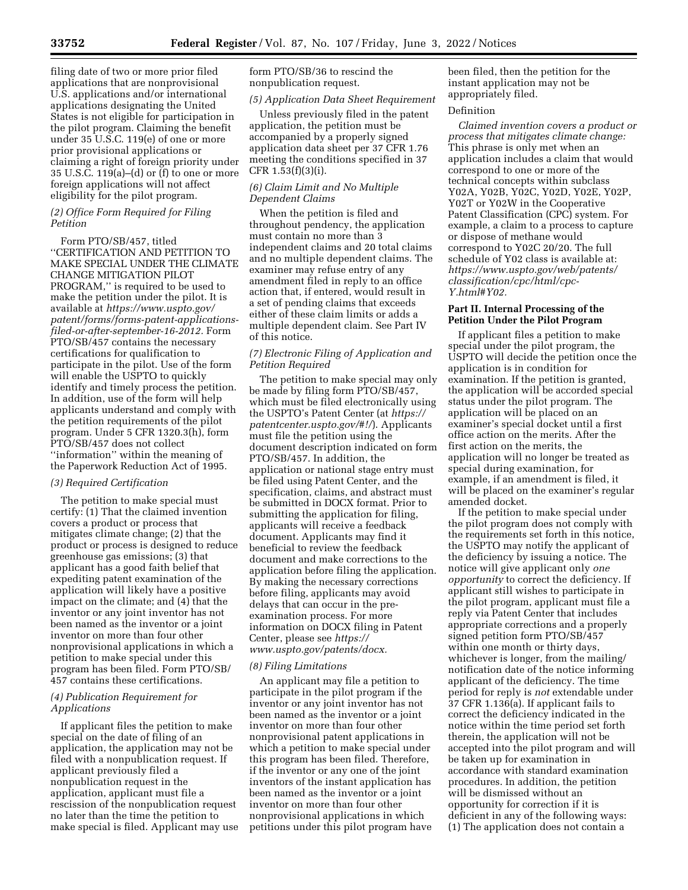filing date of two or more prior filed applications that are nonprovisional U.S. applications and/or international applications designating the United States is not eligible for participation in the pilot program. Claiming the benefit under 35 U.S.C. 119(e) of one or more prior provisional applications or claiming a right of foreign priority under 35 U.S.C. 119(a)–(d) or (f) to one or more foreign applications will not affect eligibility for the pilot program.

### *(2) Office Form Required for Filing Petition*

Form PTO/SB/457, titled ''CERTIFICATION AND PETITION TO MAKE SPECIAL UNDER THE CLIMATE CHANGE MITIGATION PILOT PROGRAM,'' is required to be used to make the petition under the pilot. It is available at *[https://www.uspto.gov/](https://www.uspto.gov/patent/forms/forms-patent-applications-filed-or-after-september-16-2012) [patent/forms/forms-patent-applications](https://www.uspto.gov/patent/forms/forms-patent-applications-filed-or-after-september-16-2012)[filed-or-after-september-16-2012.](https://www.uspto.gov/patent/forms/forms-patent-applications-filed-or-after-september-16-2012)* Form PTO/SB/457 contains the necessary certifications for qualification to participate in the pilot. Use of the form will enable the USPTO to quickly identify and timely process the petition. In addition, use of the form will help applicants understand and comply with the petition requirements of the pilot program. Under 5 CFR 1320.3(h), form PTO/SB/457 does not collect ''information'' within the meaning of the Paperwork Reduction Act of 1995.

# *(3) Required Certification*

The petition to make special must certify: (1) That the claimed invention covers a product or process that mitigates climate change; (2) that the product or process is designed to reduce greenhouse gas emissions; (3) that applicant has a good faith belief that expediting patent examination of the application will likely have a positive impact on the climate; and (4) that the inventor or any joint inventor has not been named as the inventor or a joint inventor on more than four other nonprovisional applications in which a petition to make special under this program has been filed. Form PTO/SB/ 457 contains these certifications.

# *(4) Publication Requirement for Applications*

If applicant files the petition to make special on the date of filing of an application, the application may not be filed with a nonpublication request. If applicant previously filed a nonpublication request in the application, applicant must file a rescission of the nonpublication request no later than the time the petition to make special is filed. Applicant may use form PTO/SB/36 to rescind the nonpublication request.

### *(5) Application Data Sheet Requirement*

Unless previously filed in the patent application, the petition must be accompanied by a properly signed application data sheet per 37 CFR 1.76 meeting the conditions specified in 37 CFR 1.53(f)(3)(i).

# *(6) Claim Limit and No Multiple Dependent Claims*

When the petition is filed and throughout pendency, the application must contain no more than 3 independent claims and 20 total claims and no multiple dependent claims. The examiner may refuse entry of any amendment filed in reply to an office action that, if entered, would result in a set of pending claims that exceeds either of these claim limits or adds a multiple dependent claim. See Part IV of this notice.

# *(7) Electronic Filing of Application and Petition Required*

The petition to make special may only be made by filing form PTO/SB/457, which must be filed electronically using the USPTO's Patent Center (at *[https://](https://patentcenter.uspto.gov/#!/) [patentcenter.uspto.gov/#!/](https://patentcenter.uspto.gov/#!/)*). Applicants must file the petition using the document description indicated on form PTO/SB/457. In addition, the application or national stage entry must be filed using Patent Center, and the specification, claims, and abstract must be submitted in DOCX format. Prior to submitting the application for filing, applicants will receive a feedback document. Applicants may find it beneficial to review the feedback document and make corrections to the application before filing the application. By making the necessary corrections before filing, applicants may avoid delays that can occur in the preexamination process. For more information on DOCX filing in Patent Center, please see *[https://](https://www.uspto.gov/patents/docx.) [www.uspto.gov/patents/docx.](https://www.uspto.gov/patents/docx.)* 

### *(8) Filing Limitations*

An applicant may file a petition to participate in the pilot program if the inventor or any joint inventor has not been named as the inventor or a joint inventor on more than four other nonprovisional patent applications in which a petition to make special under this program has been filed. Therefore, if the inventor or any one of the joint inventors of the instant application has been named as the inventor or a joint inventor on more than four other nonprovisional applications in which petitions under this pilot program have been filed, then the petition for the instant application may not be appropriately filed.

# Definition

*Claimed invention covers a product or process that mitigates climate change:*  This phrase is only met when an application includes a claim that would correspond to one or more of the technical concepts within subclass Y02A, Y02B, Y02C, Y02D, Y02E, Y02P, Y02T or Y02W in the Cooperative Patent Classification (CPC) system. For example, a claim to a process to capture or dispose of methane would correspond to Y02C 20/20. The full schedule of Y02 class is available at: *[https://www.uspto.gov/web/patents/](https://www.uspto.gov/web/patents/classification/cpc/html/cpc-Y.html#Y02)  [classification/cpc/html/cpc-](https://www.uspto.gov/web/patents/classification/cpc/html/cpc-Y.html#Y02)[Y.html#Y02.](https://www.uspto.gov/web/patents/classification/cpc/html/cpc-Y.html#Y02)* 

## **Part II. Internal Processing of the Petition Under the Pilot Program**

If applicant files a petition to make special under the pilot program, the USPTO will decide the petition once the application is in condition for examination. If the petition is granted, the application will be accorded special status under the pilot program. The application will be placed on an examiner's special docket until a first office action on the merits. After the first action on the merits, the application will no longer be treated as special during examination, for example, if an amendment is filed, it will be placed on the examiner's regular amended docket.

If the petition to make special under the pilot program does not comply with the requirements set forth in this notice, the USPTO may notify the applicant of the deficiency by issuing a notice. The notice will give applicant only *one opportunity* to correct the deficiency. If applicant still wishes to participate in the pilot program, applicant must file a reply via Patent Center that includes appropriate corrections and a properly signed petition form PTO/SB/457 within one month or thirty days, whichever is longer, from the mailing/ notification date of the notice informing applicant of the deficiency. The time period for reply is *not* extendable under 37 CFR 1.136(a). If applicant fails to correct the deficiency indicated in the notice within the time period set forth therein, the application will not be accepted into the pilot program and will be taken up for examination in accordance with standard examination procedures. In addition, the petition will be dismissed without an opportunity for correction if it is deficient in any of the following ways: (1) The application does not contain a